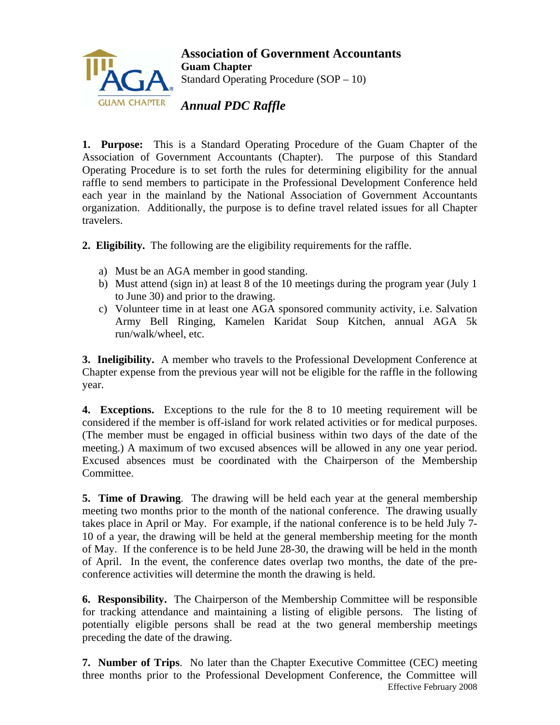

**Association of Government Accountants Guam Chapter**  Standard Operating Procedure (SOP – 10)

*Annual PDC Raffle* 

**1. Purpose:** This is a Standard Operating Procedure of the Guam Chapter of the Association of Government Accountants (Chapter). The purpose of this Standard Operating Procedure is to set forth the rules for determining eligibility for the annual raffle to send members to participate in the Professional Development Conference held each year in the mainland by the National Association of Government Accountants organization. Additionally, the purpose is to define travel related issues for all Chapter travelers.

**2. Eligibility.** The following are the eligibility requirements for the raffle.

- a) Must be an AGA member in good standing.
- b) Must attend (sign in) at least 8 of the 10 meetings during the program year (July 1 to June 30) and prior to the drawing.
- c) Volunteer time in at least one AGA sponsored community activity, i.e. Salvation Army Bell Ringing, Kamelen Karidat Soup Kitchen, annual AGA 5k run/walk/wheel, etc.

**3. Ineligibility.** A member who travels to the Professional Development Conference at Chapter expense from the previous year will not be eligible for the raffle in the following year.

**4. Exceptions.** Exceptions to the rule for the 8 to 10 meeting requirement will be considered if the member is off-island for work related activities or for medical purposes. (The member must be engaged in official business within two days of the date of the meeting.) A maximum of two excused absences will be allowed in any one year period. Excused absences must be coordinated with the Chairperson of the Membership Committee.

**5. Time of Drawing**. The drawing will be held each year at the general membership meeting two months prior to the month of the national conference. The drawing usually takes place in April or May. For example, if the national conference is to be held July 7- 10 of a year, the drawing will be held at the general membership meeting for the month of May. If the conference is to be held June 28-30, the drawing will be held in the month of April. In the event, the conference dates overlap two months, the date of the preconference activities will determine the month the drawing is held.

**6. Responsibility.** The Chairperson of the Membership Committee will be responsible for tracking attendance and maintaining a listing of eligible persons. The listing of potentially eligible persons shall be read at the two general membership meetings preceding the date of the drawing.

Effective February 2008 **7. Number of Trips**. No later than the Chapter Executive Committee (CEC) meeting three months prior to the Professional Development Conference, the Committee will